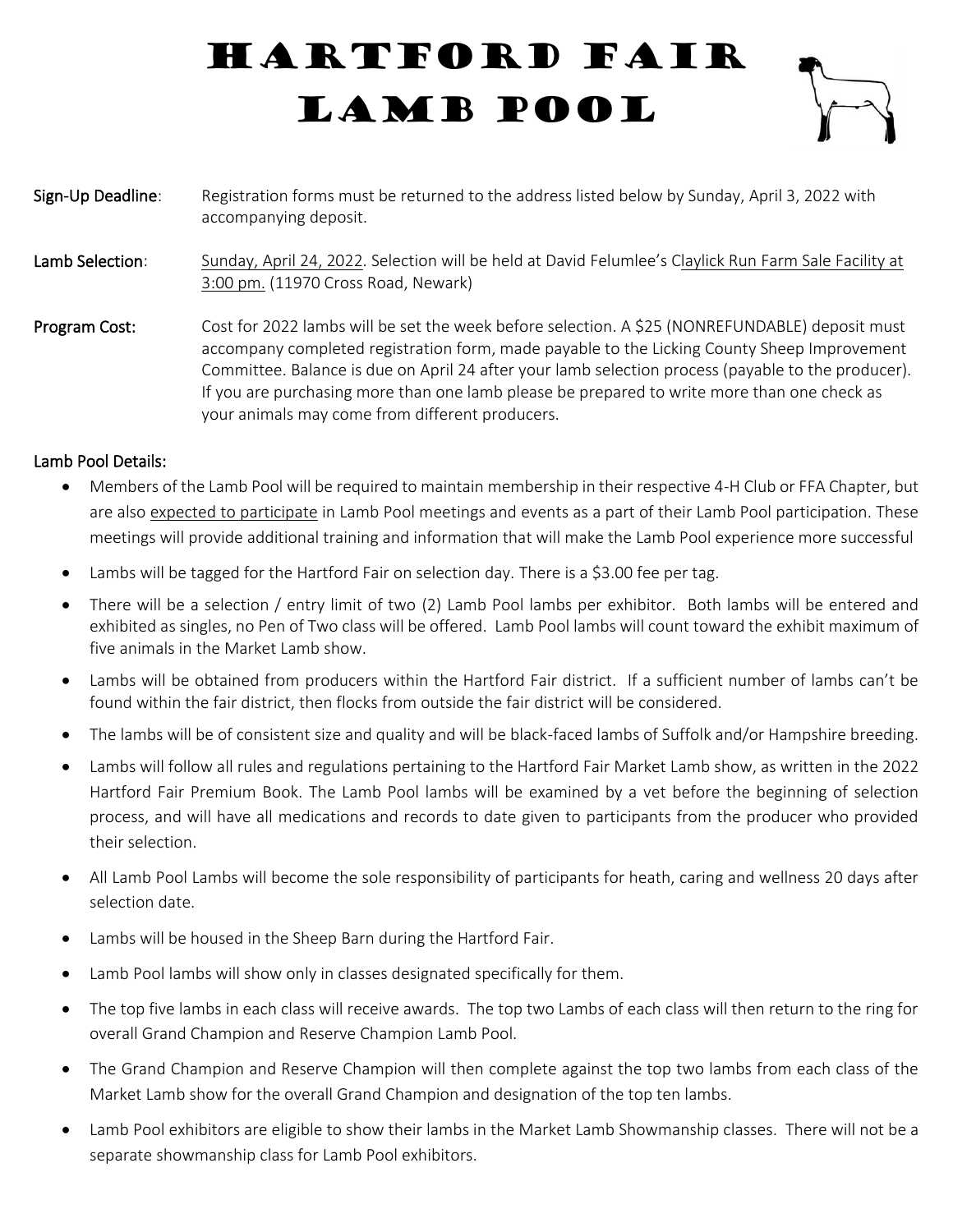## Hartford Fair LAMB POOL



Sign-Up Deadline: Registration forms must be returned to the address listed below by Sunday, April 3, 2022 with accompanying deposit. Lamb Selection: Sunday, April 24, 2022. Selection will be held at David Felumlee's Claylick Run Farm Sale Facility at 3:00 pm. (11970 Cross Road, Newark) Program Cost: Cost for 2022 lambs will be set the week before selection. A \$25 (NONREFUNDABLE) deposit must accompany completed registration form, made payable to the Licking County Sheep Improvement Committee. Balance is due on April 24 after your lamb selection process (payable to the producer). If you are purchasing more than one lamb please be prepared to write more than one check as your animals may come from different producers.

## Lamb Pool Details:

- Members of the Lamb Pool will be required to maintain membership in their respective 4-H Club or FFA Chapter, but are also expected to participate in Lamb Pool meetings and events as a part of their Lamb Pool participation. These meetings will provide additional training and information that will make the Lamb Pool experience more successful
- Lambs will be tagged for the Hartford Fair on selection day. There is a \$3.00 fee per tag.
- There will be a selection / entry limit of two (2) Lamb Pool lambs per exhibitor. Both lambs will be entered and exhibited as singles, no Pen of Two class will be offered. Lamb Pool lambs will count toward the exhibit maximum of five animals in the Market Lamb show.
- Lambs will be obtained from producers within the Hartford Fair district. If a sufficient number of lambs can't be found within the fair district, then flocks from outside the fair district will be considered.
- The lambs will be of consistent size and quality and will be black-faced lambs of Suffolk and/or Hampshire breeding.
- Lambs will follow all rules and regulations pertaining to the Hartford Fair Market Lamb show, as written in the 2022 Hartford Fair Premium Book. The Lamb Pool lambs will be examined by a vet before the beginning of selection process, and will have all medications and records to date given to participants from the producer who provided their selection.
- All Lamb Pool Lambs will become the sole responsibility of participants for heath, caring and wellness 20 days after selection date.
- Lambs will be housed in the Sheep Barn during the Hartford Fair.
- Lamb Pool lambs will show only in classes designated specifically for them.
- The top five lambs in each class will receive awards. The top two Lambs of each class will then return to the ring for overall Grand Champion and Reserve Champion Lamb Pool.
- The Grand Champion and Reserve Champion will then complete against the top two lambs from each class of the Market Lamb show for the overall Grand Champion and designation of the top ten lambs.
- Lamb Pool exhibitors are eligible to show their lambs in the Market Lamb Showmanship classes. There will not be a separate showmanship class for Lamb Pool exhibitors.